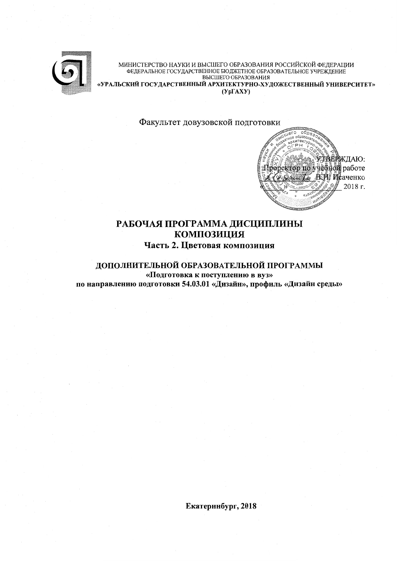

МИНИСТЕРСТВО НАУКИ И ВЫСШЕГО ОБРАЗОВАНИЯ РОССИЙСКОЙ ФЕДЕРАЦИИ ФЕДЕРАЛЬНОЕ ГОСУДАРСТВЕННОЕ БЮДЖЕТНОЕ ОБРАЗОВАТЕЛЬНОЕ УЧРЕЖДЕНИЕ ВЫСШЕГО ОБРАЗОВАНИЯ «УРАЛЬСКИЙ ГОСУДАРСТВЕННЫЙ АРХИТЕКТУРНО-ХУДОЖЕСТВЕННЫЙ УНИВЕРСИТЕТ»  $(Yp\Gamma A X Y)$ 

Факультет довузовской подготовки



# РАБОЧАЯ ПРОГРАММА ДИСЦИПЛИНЫ **КОМПОЗИЦИЯ** Часть 2. Цветовая композиция

## ДОПОЛНИТЕЛЬНОЙ ОБРАЗОВАТЕЛЬНОЙ ПРОГРАММЫ

«Подготовка к поступлению в вуз» по направлению подготовки 54.03.01 «Дизайн», профиль «Дизайн среды»

Екатеринбург, 2018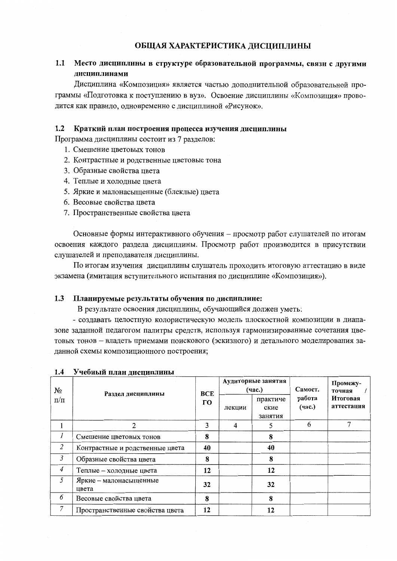## ОБЩАЯ ХАРАКТЕРИСТИКА ДИСЦИПЛИНЫ

### $1.1$ Место дисциплины в структуре образовательной программы, связи с другими лиспиплинами

Дисциплина «Композиция» является частью дополнительной образовательной программы «Подготовка к поступлению в вуз». Освоение дисциплины «Композиция» проводится как правило, одновременно с дисциплиной «Рисунок».

#### $1.2$ Краткий план построения процесса изучения дисциплины

Программа дисциплины состоит из 7 разделов:

- 1. Смешение пветовых тонов
- 2. Контрастные и родственные цветовые тона
- 3. Образные свойства цвета
- 4. Теплые и холодные цвета
- 5. Яркие и малонасыщенные (блеклые) цвета
- 6. Весовые свойства цвета
- 7. Пространственные свойства цвета

Основные формы интерактивного обучения – просмотр работ слушателей по итогам освоения каждого раздела дисциплины. Просмотр работ производится в присутствии слушателей и преподавателя дисциплины.

По итогам изучения дисциплины слушатель проходить итоговую аттестацию в виде экзамена (имитация вступительного испытания по дисциплине «Композиция»).

#### $1.3$ Планируемые результаты обучения по дисциплине:

В результате освоения дисциплины, обучающийся должен уметь:

- создавать целостную колористическую модель плоскостной композиции в диапазоне заданной педагогом палитры средств, используя гармонизированные сочетания цветовых тонов - владеть приемами поискового (эскизного) и детального моделирования заданной схемы композиционного построения;

| No<br>$\Pi/\Pi$ | Раздел дисциплины               | <b>BCE</b> |        | Аудиторные занятия<br>(час.) | Самост.          | Промежу-<br>точная            |  |
|-----------------|---------------------------------|------------|--------|------------------------------|------------------|-------------------------------|--|
|                 |                                 |            | лекции | практиче<br>ские<br>занятия  | работа<br>(час.) | <b>Итоговая</b><br>аттестация |  |
|                 | 2                               | 3          | 4      | 5                            | 6                |                               |  |
|                 | Смешение цветовых тонов         | 8          |        | 8                            |                  |                               |  |
| $\overline{2}$  | Контрастные и родственные цвета | 40         |        | 40                           |                  |                               |  |
| $\mathfrak{Z}$  | Образные свойства цвета         | 8          |        | 8                            |                  |                               |  |
| $\overline{4}$  | Теплые - холодные цвета         | 12         |        | 12                           |                  |                               |  |
| 5               | Яркие - малонасыщенные<br>цвета | 32         |        | 32                           |                  |                               |  |
| 6               | Весовые свойства цвета          | 8          |        | 8                            |                  |                               |  |
| 7               | Пространственные свойства цвета | 12         |        | 12                           |                  |                               |  |

## 1.4 Учебный план дисциплины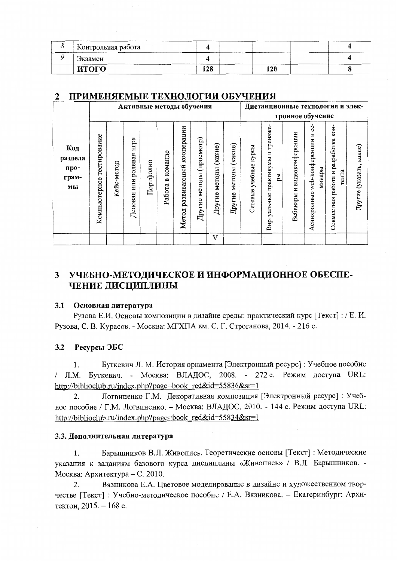| <u>н Контрольная работа</u> |     |     |  |
|-----------------------------|-----|-----|--|
| Экзамен                     |     |     |  |
| итого                       | 128 | 120 |  |

### ПРИМЕНЯЕМЫЕ ТЕХНОЛОГИИ ОБУЧЕНИЯ  $\mathbf{2}$

|                                       | Активные методы обучения     |            |                                   |           |                                     |                                    |                                |                             | Дистанционные технологии и элек- |                             |                                               |                                   |                                                    |                                              |                         |
|---------------------------------------|------------------------------|------------|-----------------------------------|-----------|-------------------------------------|------------------------------------|--------------------------------|-----------------------------|----------------------------------|-----------------------------|-----------------------------------------------|-----------------------------------|----------------------------------------------------|----------------------------------------------|-------------------------|
|                                       |                              |            |                                   |           |                                     |                                    |                                |                             | тронное обучение                 |                             |                                               |                                   |                                                    |                                              |                         |
| Код<br>раздела<br>про-<br>грам-<br>МЫ | тестирование<br>Компьютерное | Кейс-метод | игра<br>ролевая<br>или<br>Деловая | Портфолио | команде<br>$\blacksquare$<br>Работа | кооперации<br>развивающей<br>Метод | (просмотр)<br>методы<br>Другие | (какие)<br>методы<br>Другие | (какие)<br>методы<br>Другие      | курсы<br>учебные<br>Сетевые | тренаже-<br>практикумы и<br>pы<br>Виртуальные | видеоконференции<br>N<br>Вебинары | 8<br>N<br>web-конференции<br>минары<br>Асинхронные | Совместная работа и разработка кон-<br>тента | Другие (указать, какие) |
|                                       |                              |            |                                   |           |                                     |                                    |                                | V                           |                                  |                             |                                               |                                   |                                                    |                                              |                         |

# 3 УЧЕБНО-МЕТОДИЧЕСКОЕ И ИНФОРМАЦИОННОЕ ОБЕСПЕ-ЧЕНИЕ ДИСЦИПЛИНЫ

### $3.1$ Основная литература

Рузова Е.И. Основы композиции в дизайне среды: практический курс [Текст] : / Е. И. Рузова, С. В. Курасов. - Москва: МГХПА им. С. Г. Строганова, 2014. - 216 с.

### $3.2$ Ресурсы ЭБС

Буткевич Л. М. История орнамента [Электронный ресурс] : Учебное пособие 1. / Л.М. Буткевич. - Москва: ВЛАДОС, 2008. - 272 с. Режим доступа URL: http://biblioclub.ru/index.php?page=book red&id=55836&sr=1

Логвиненко Г.М. Декоративная композиция [Электронный ресурс]: Учеб- $2.$ ное пособие / Г.М. Логвиненко. - Москва: ВЛАДОС, 2010. - 144 с. Режим доступа URL: http://biblioclub.ru/index.php?page=book red&id=55834&sr=1

## 3.3. Дополнительная литература

Барышников В.Л. Живопись. Теоретические основы [Текст] : Методические 1. указания к заданиям базового курса дисциплины «Живопись» / В.Л. Барышников. -Москва: Архитектура – С. 2010.

Вязникова Е.А. Цветовое моделирование в дизайне и художественном твор-2. честве [Текст] : Учебно-методическое пособие / Е.А. Вязникова. - Екатеринбург: Архитектон, 2015. - 168 с.